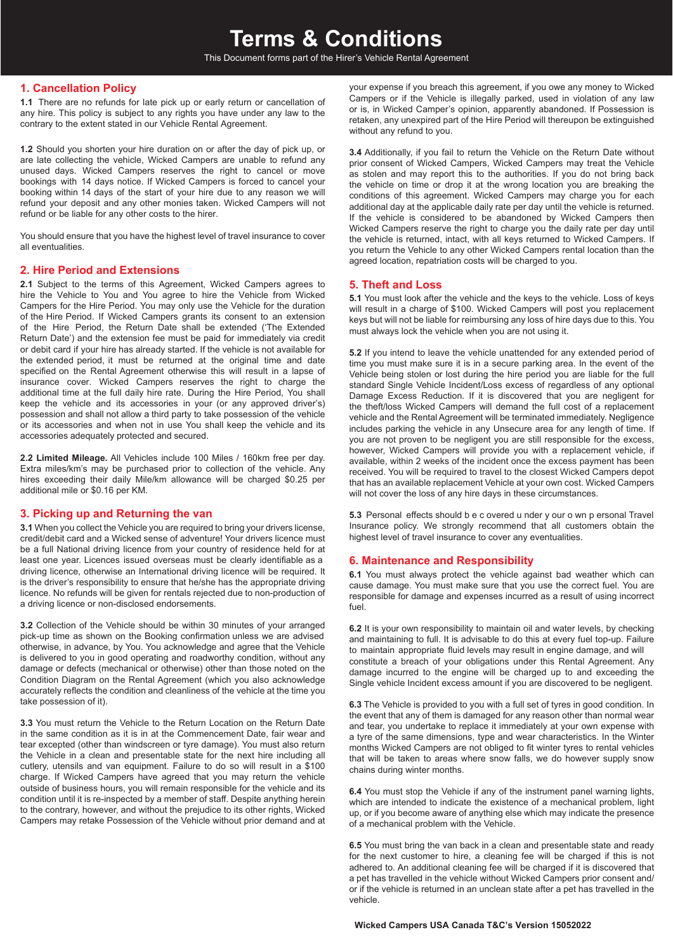This Document forms part of the Hirer's Vehicle Rental Agreement

# **1. Cancellation Policy**

**1.1** There are no refunds for late pick up or early return or cancellation of any hire. This policy is subject to any rights you have under any law to the contrary to the extent stated in our Vehicle Rental Agreement.

**1.2** Should you shorten your hire duration on or after the day of pick up, or are late collecting the vehicle, Wicked Campers are unable to refund any unused days. Wicked Campers reserves the right to cancel or move bookings with 14 days notice. If Wicked Campers is forced to cancel your booking within 14 days of the start of your hire due to any reason we will refund your deposit and any other monies taken. Wicked Campers will not refund or be liable for any other costs to the hirer.

You should ensure that you have the highest level of travel insurance to cover all eventualities.

## **2. Hire Period and Extensions**

**2.1** Subject to the terms of this Agreement, Wicked Campers agrees to hire the Vehicle to You and You agree to hire the Vehicle from Wicked Campers for the Hire Period. You may only use the Vehicle for the duration of the Hire Period. If Wicked Campers grants its consent to an extension of the Hire Period, the Return Date shall be extended ('The Extended Return Date') and the extension fee must be paid for immediately via credit or debit card if your hire has already started. If the vehicle is not available for the extended period, it must be returned at the original time and date specified on the Rental Agreement otherwise this will result in a lapse of insurance cover. Wicked Campers reserves the right to charge the additional time at the full daily hire rate. During the Hire Period, You shall keep the vehicle and its accessories in your (or any approved driver's) possession and shall not allow a third party to take possession of the vehicle or its accessories and when not in use You shall keep the vehicle and its accessories adequately protected and secured.

**2.2 Limited Mileage.** All Vehicles include 100 Miles / 160km free per day. Extra miles/km's may be purchased prior to collection of the vehicle. Any hires exceeding their daily Mile/km allowance will be charged \$0.25 per additional mile or \$0.16 per KM.

## **3. Picking up and Returning the van**

**3.1** When you collect the Vehicle you are required to bring your drivers license, credit/debit card and a Wicked sense of adventure! Your drivers licence must be a full National driving licence from your country of residence held for at least one year. Licences issued overseas must be clearly identifiable as a driving licence, otherwise an International driving licence will be required. It is the driver's responsibility to ensure that he/she has the appropriate driving licence. No refunds will be given for rentals rejected due to non-production of a driving licence or non-disclosed endorsements.

**3.2** Collection of the Vehicle should be within 30 minutes of your arranged pick-up time as shown on the Booking confirmation unless we are advised otherwise, in advance, by You. You acknowledge and agree that the Vehicle is delivered to you in good operating and roadworthy condition, without any damage or defects (mechanical or otherwise) other than those noted on the Condition Diagram on the Rental Agreement (which you also acknowledge accurately reflects the condition and cleanliness of the vehicle at the time you take possession of it).

**3.3** You must return the Vehicle to the Return Location on the Return Date in the same condition as it is in at the Commencement Date, fair wear and tear excepted (other than windscreen or tyre damage). You must also return the Vehicle in a clean and presentable state for the next hire including all cutlery, utensils and van equipment. Failure to do so will result in a \$100 charge. If Wicked Campers have agreed that you may return the vehicle outside of business hours, you will remain responsible for the vehicle and its condition until it is re-inspected by a member of staff. Despite anything herein to the contrary, however, and without the prejudice to its other rights, Wicked Campers may retake Possession of the Vehicle without prior demand and at

your expense if you breach this agreement, if you owe any money to Wicked Campers or if the Vehicle is illegally parked, used in violation of any law or is, in Wicked Camper's opinion, apparently abandoned. If Possession is retaken, any unexpired part of the Hire Period will thereupon be extinguished without any refund to you.

**3.4** Additionally, if you fail to return the Vehicle on the Return Date without prior consent of Wicked Campers, Wicked Campers may treat the Vehicle as stolen and may report this to the authorities. If you do not bring back the vehicle on time or drop it at the wrong location you are breaking the conditions of this agreement. Wicked Campers may charge you for each additional day at the applicable daily rate per day until the vehicle is returned. If the vehicle is considered to be abandoned by Wicked Campers then Wicked Campers reserve the right to charge you the daily rate per day until the vehicle is returned, intact, with all keys returned to Wicked Campers. If you return the Vehicle to any other Wicked Campers rental location than the agreed location, repatriation costs will be charged to you.

## **5. Theft and Loss**

**5.1** You must look after the vehicle and the keys to the vehicle. Loss of keys will result in a charge of \$100. Wicked Campers will post you replacement keys but will not be liable for reimbursing any loss of hire days due to this. You must always lock the vehicle when you are not using it.

**5.2** If you intend to leave the vehicle unattended for any extended period of time you must make sure it is in a secure parking area. In the event of the Vehicle being stolen or lost during the hire period you are liable for the full standard Single Vehicle Incident/Loss excess of regardless of any optional Damage Excess Reduction. If it is discovered that you are negligent for the theft/loss Wicked Campers will demand the full cost of a replacement vehicle and the Rental Agreement will be terminated immediately. Negligence includes parking the vehicle in any Unsecure area for any length of time. If you are not proven to be negligent you are still responsible for the excess, however, Wicked Campers will provide you with a replacement vehicle, if available, within 2 weeks of the incident once the excess payment has been received. You will be required to travel to the closest Wicked Campers depot that has an available replacement Vehicle at your own cost. Wicked Campers will not cover the loss of any hire days in these circumstances.

**5.3** Personal effects should b e c overed u nder y our o wn p ersonal Travel Insurance policy. We strongly recommend that all customers obtain the highest level of travel insurance to cover any eventualities.

## **6. Maintenance and Responsibility**

**6.1** You must always protect the vehicle against bad weather which can cause damage. You must make sure that you use the correct fuel. You are responsible for damage and expenses incurred as a result of using incorrect fuel.

**6.2** It is your own responsibility to maintain oil and water levels, by checking and maintaining to full. It is advisable to do this at every fuel top-up. Failure to maintain appropriate fluid levels may result in engine damage, and will constitute a breach of your obligations under this Rental Agreement. Any damage incurred to the engine will be charged up to and exceeding the Single vehicle Incident excess amount if you are discovered to be negligent.

**6.3** The Vehicle is provided to you with a full set of tyres in good condition. In the event that any of them is damaged for any reason other than normal wear and tear, you undertake to replace it immediately at your own expense with a tyre of the same dimensions, type and wear characteristics. In the Winter months Wicked Campers are not obliged to fit winter tyres to rental vehicles that will be taken to areas where snow falls, we do however supply snow chains during winter months.

**6.4** You must stop the Vehicle if any of the instrument panel warning lights, which are intended to indicate the existence of a mechanical problem, light up, or if you become aware of anything else which may indicate the presence of a mechanical problem with the Vehicle.

**6.5** You must bring the van back in a clean and presentable state and ready for the next customer to hire, a cleaning fee will be charged if this is not adhered to. An additional cleaning fee will be charged if it is discovered that a pet has travelled in the vehicle without Wicked Campers prior consent and/ or if the vehicle is returned in an unclean state after a pet has travelled in the vehicle.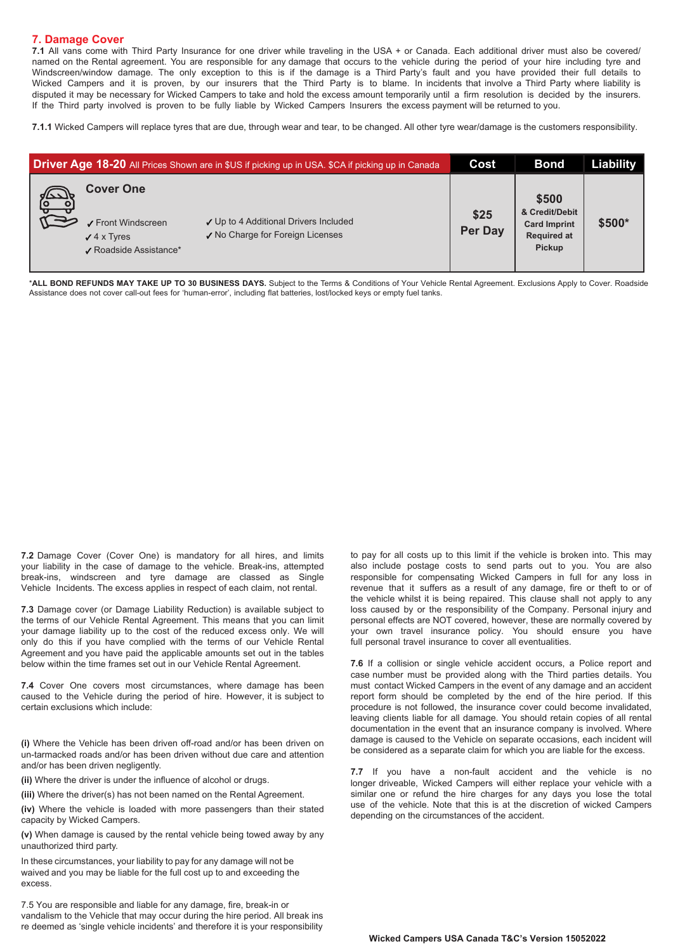## **7. Damage Cover**

**7.1** All vans come with Third Party Insurance for one driver while traveling in the USA + or Canada. Each additional driver must also be covered/ named on the Rental agreement. You are responsible for any damage that occurs to the vehicle during the period of your hire including tyre and Windscreen/window damage. The only exception to this is if the damage is a Third Party's fault and you have provided their full details to Wicked Campers and it is proven, by our insurers that the Third Party is to blame. In incidents that involve a Third Party where liability is disputed it may be necessary for Wicked Campers to take and hold the excess amount temporarily until a firm resolution is decided by the insurers. If the Third party involved is proven to be fully liable by Wicked Campers Insurers the excess payment will be returned to you.

**7.1.1** Wicked Campers will replace tyres that are due, through wear and tear, to be changed. All other tyre wear/damage is the customers responsibility.

| <b>Driver Age 18-20</b> All Prices Shown are in \$US if picking up in USA. \$CA if picking up in Canada |                                                                                        |                                                                           | Cost            | <b>Bond</b>                                                                           | Liability |
|---------------------------------------------------------------------------------------------------------|----------------------------------------------------------------------------------------|---------------------------------------------------------------------------|-----------------|---------------------------------------------------------------------------------------|-----------|
| $\overline{1}$                                                                                          | <b>Cover One</b><br>✔ Front Windscreen<br>$\sqrt{4}$ x Tyres<br>✔ Roadside Assistance* | ✓ Up to 4 Additional Drivers Included<br>√ No Charge for Foreign Licenses | \$25<br>Per Day | \$500<br>& Credit/Debit<br><b>Card Imprint</b><br><b>Required at</b><br><b>Pickup</b> | \$500*    |

\***ALL BOND REFUNDS MAY TAKE UP TO 30 BUSINESS DAYS.** Subject to the Terms & Conditions of Your Vehicle Rental Agreement. Exclusions Apply to Cover. Roadside Assistance does not cover call-out fees for 'human-error', including flat batteries, lost/locked keys or empty fuel tanks.

**7.2** Damage Cover (Cover One) is mandatory for all hires, and limits your liability in the case of damage to the vehicle. Break-ins, attempted break-ins, windscreen and tyre damage are classed as Single Vehicle Incidents. The excess applies in respect of each claim, not rental.

**7.3** Damage cover (or Damage Liability Reduction) is available subject to the terms of our Vehicle Rental Agreement. This means that you can limit your damage liability up to the cost of the reduced excess only. We will only do this if you have complied with the terms of our Vehicle Rental Agreement and you have paid the applicable amounts set out in the tables below within the time frames set out in our Vehicle Rental Agreement.

**7.4** Cover One covers most circumstances, where damage has been caused to the Vehicle during the period of hire. However, it is subject to certain exclusions which include:

**(i)** Where the Vehicle has been driven off-road and/or has been driven on un-tarmacked roads and/or has been driven without due care and attention and/or has been driven negligently.

**(ii)** Where the driver is under the influence of alcohol or drugs.

**(iii)** Where the driver(s) has not been named on the Rental Agreement.

**(iv)** Where the vehicle is loaded with more passengers than their stated capacity by Wicked Campers.

**(v)** When damage is caused by the rental vehicle being towed away by any unauthorized third party.

In these circumstances, your liability to pay for any damage will not be waived and you may be liable for the full cost up to and exceeding the excess.

7.5 You are responsible and liable for any damage, fire, break-in or vandalism to the Vehicle that may occur during the hire period. All break ins re deemed as 'single vehicle incidents' and therefore it is your responsibility

to pay for all costs up to this limit if the vehicle is broken into. This may also include postage costs to send parts out to you. You are also responsible for compensating Wicked Campers in full for any loss in revenue that it suffers as a result of any damage, fire or theft to or of the vehicle whilst it is being repaired. This clause shall not apply to any loss caused by or the responsibility of the Company. Personal injury and personal effects are NOT covered, however, these are normally covered by your own travel insurance policy. You should ensure you have full personal travel insurance to cover all eventualities.

**7.6** If a collision or single vehicle accident occurs, a Police report and case number must be provided along with the Third parties details. You must contact Wicked Campers in the event of any damage and an accident report form should be completed by the end of the hire period. If this procedure is not followed, the insurance cover could become invalidated, leaving clients liable for all damage. You should retain copies of all rental documentation in the event that an insurance company is involved. Where damage is caused to the Vehicle on separate occasions, each incident will be considered as a separate claim for which you are liable for the excess.

**7.7** If you have a non-fault accident and the vehicle is no longer driveable, Wicked Campers will either replace your vehicle with a similar one or refund the hire charges for any days you lose the total use of the vehicle. Note that this is at the discretion of wicked Campers depending on the circumstances of the accident.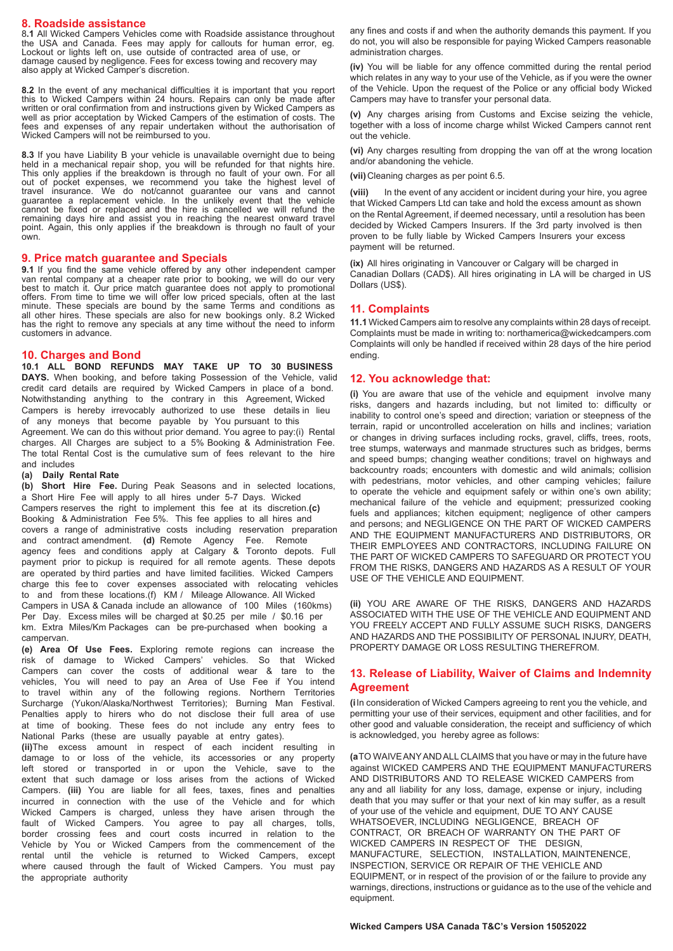## **8. Roadside assistance**

8**.1** All Wicked Campers Vehicles come with Roadside assistance throughout the USA and Canada. Fees may apply for callouts for human error, eg. Lockout or lights left on, use outside of contracted area of use, or damage caused by negligence. Fees for excess towing and recovery may also apply at Wicked Camper's discretion.

**8.2** In the event of any mechanical difficulties it is important that you report this to Wicked Campers within 24 hours. Repairs can only be made after written or oral confirmation from and instructions given by Wicked Campers as well as prior acceptation by Wicked Campers of the estimation of costs. The fees and expenses of any repair undertaken without the authorisation of Wicked Campers will not be reimbursed to you.

**8.3** If you have Liability B your vehicle is unavailable overnight due to being held in a mechanical repair shop, you will be refunded for that nights hire. This only applies if the breakdown is through no fault of your own. For all out of pocket expenses, we recommend you take the highest level of travel insurance. We do not/cannot guarantee our vans and cannot guarantee a replacement vehicle. In the unlikely event that the vehicle cannot be fixed or replaced and the hire is cancelled we will refund the remaining days hire and assist you in reaching the nearest onward travel point. Again, this only applies if the breakdown is through no fault of your own.

### **9. Price match guarantee and Specials**

**9.1** If you find the same vehicle offered by any other independent camper<br>van rental company at a cheaper rate prior to booking, we will do our very best to match it. Our price match guarantee does not apply to promotional offers. From time to time we will offer low priced specials, often at the last minute. These specials are bound by the same Terms and conditions as all other hires. These specials are also for new bookings only. 8.2 Wicked has the right to remove any specials at any time without the need to inform customers in advance.

# **10. Charges and Bond**

**10.1 ALL BOND REFUNDS MAY TAKE UP TO 30 BUSINESS DAYS.** When booking, and before taking Possession of the Vehicle, valid credit card details are required by Wicked Campers in place of a bond. Notwithstanding anything to the contrary in this Agreement, Wicked Campers is hereby irrevocably authorized to use these details in lieu of any moneys that become payable by You pursuant to this Agreement. We can do this without prior demand. You agree to pay:(i) Rental charges. All Charges are subject to a 5% Booking & Administration Fee. The total Rental Cost is the cumulative sum of fees relevant to the hire and includes

#### **(a) Daily Rental Rate**

**(b) Short Hire Fee.** During Peak Seasons and in selected locations, a Short Hire Fee will apply to all hires under 5-7 Days. Wicked Campers reserves the right to implement this fee at its discretion.**(c)** Booking & Administration Fee 5%. This fee applies to all hires and covers a range of administrative costs including reservation preparation and contract amendment. **(d)** Remote Agency Fee. Remote agency fees and conditions apply at Calgary & Toronto depots. Full payment prior to pickup is required for all remote agents. These depots are operated by third parties and have limited facilities. Wicked Campers charge this fee to cover expenses associated with relocating vehicles to and from these locations.(f) KM / Mileage Allowance. All Wicked Campers in USA & Canada include an allowance of 100 Miles (160kms) Per Day. Excess miles will be charged at \$0.25 per mile / \$0.16 per km. Extra Miles/Km Packages can be pre-purchased when booking a campervan.

**(e) Area Of Use Fees.** Exploring remote regions can increase the risk of damage to Wicked Campers' vehicles. So that Wicked Campers can cover the costs of additional wear & tare to the vehicles, You will need to pay an Area of Use Fee if You intend to travel within any of the following regions. Northern Territories Surcharge (Yukon/Alaska/Northwest Territories); Burning Man Festival. Penalties apply to hirers who do not disclose their full area of use at time of booking. These fees do not include any entry fees to National Parks (these are usually payable at entry gates).

**(ii)**The excess amount in respect of each incident resulting in damage to or loss of the vehicle, its accessories or any property left stored or transported in or upon the Vehicle, save to the extent that such damage or loss arises from the actions of Wicked Campers. **(iii)** You are liable for all fees, taxes, fines and penalties incurred in connection with the use of the Vehicle and for which Wicked Campers is charged, unless they have arisen through the fault of Wicked Campers. You agree to pay all charges, tolls, border crossing fees and court costs incurred in relation to the Vehicle by You or Wicked Campers from the commencement of the rental until the vehicle is returned to Wicked Campers, except where caused through the fault of Wicked Campers. You must pay the appropriate authority

any fines and costs if and when the authority demands this payment. If you do not, you will also be responsible for paying Wicked Campers reasonable administration charges.

**(iv)** You will be liable for any offence committed during the rental period which relates in any way to your use of the Vehicle, as if you were the owner of the Vehicle. Upon the request of the Police or any official body Wicked Campers may have to transfer your personal data.

**(v)** Any charges arising from Customs and Excise seizing the vehicle, together with a loss of income charge whilst Wicked Campers cannot rent out the vehicle.

**(vi)** Any charges resulting from dropping the van off at the wrong location and/or abandoning the vehicle.

**(vii)**Cleaning charges as per point 6.5.

**(viii)** In the event of any accident or incident during your hire, you agree that Wicked Campers Ltd can take and hold the excess amount as shown on the Rental Agreement, if deemed necessary, until a resolution has been decided by Wicked Campers Insurers. If the 3rd party involved is then proven to be fully liable by Wicked Campers Insurers your excess payment will be returned.

**(ix)** All hires originating in Vancouver or Calgary will be charged in Canadian Dollars (CAD\$). All hires originating in LA will be charged in US Dollars (US\$).

### **11. Complaints**

**11.1** Wicked Campers aim to resolve any complaints within 28 days of receipt. Complaints must be made in writing to: northamerica@wickedcampers.com Complaints will only be handled if received within 28 days of the hire period ending.

#### **12. You acknowledge that:**

**(i)** You are aware that use of the vehicle and equipment involve many risks, dangers and hazards including, but not limited to: difficulty or inability to control one's speed and direction; variation or steepness of the terrain, rapid or uncontrolled acceleration on hills and inclines; variation or changes in driving surfaces including rocks, gravel, cliffs, trees, roots, tree stumps, waterways and manmade structures such as bridges, berms and speed bumps; changing weather conditions; travel on highways and backcountry roads; encounters with domestic and wild animals; collision with pedestrians, motor vehicles, and other camping vehicles; failure to operate the vehicle and equipment safely or within one's own ability; mechanical failure of the vehicle and equipment; pressurized cooking fuels and appliances; kitchen equipment; negligence of other campers and persons; and NEGLIGENCE ON THE PART OF WICKED CAMPERS AND THE EQUIPMENT MANUFACTURERS AND DISTRIBUTORS, OR THEIR EMPLOYEES AND CONTRACTORS, INCLUDING FAILURE ON THE PART OF WICKED CAMPERS TO SAFEGUARD OR PROTECT YOU FROM THE RISKS, DANGERS AND HAZARDS AS A RESULT OF YOUR USE OF THE VEHICLE AND EQUIPMENT.

**(ii)** YOU ARE AWARE OF THE RISKS, DANGERS AND HAZARDS ASSOCIATED WITH THE USE OF THE VEHICLE AND EQUIPMENT AND YOU FREELY ACCEPT AND FULLY ASSUME SUCH RISKS, DANGERS AND HAZARDS AND THE POSSIBILITY OF PERSONAL INJURY, DEATH, PROPERTY DAMAGE OR LOSS RESULTING THEREFROM.

## **13. Release of Liability, Waiver of Claims and Indemnity Agreement**

**(i**In consideration of Wicked Campers agreeing to rent you the vehicle, and permitting your use of their services, equipment and other facilities, and for other good and valuable consideration, the receipt and sufficiency of which is acknowledged, you hereby agree as follows:

**(a** TO WAIVE ANY AND ALL CLAIMS that you have or may in the future have against WICKED CAMPERS AND THE EQUIPMENT MANUFACTURERS AND DISTRIBUTORS AND TO RELEASE WICKED CAMPERS from any and all liability for any loss, damage, expense or injury, including death that you may suffer or that your next of kin may suffer, as a result of your use of the vehicle and equipment, DUE TO ANY CAUSE WHATSOEVER, INCLUDING NEGLIGENCE, BREACH OF CONTRACT, OR BREACH OF WARRANTY ON THE PART OF WICKED CAMPERS IN RESPECT OF THE DESIGN, MANUFACTURE, SELECTION, INSTALLATION, MAINTENENCE, INSPECTION, SERVICE OR REPAIR OF THE VEHICLE AND EQUIPMENT, or in respect of the provision of or the failure to provide any warnings, directions, instructions or guidance as to the use of the vehicle and equipment.